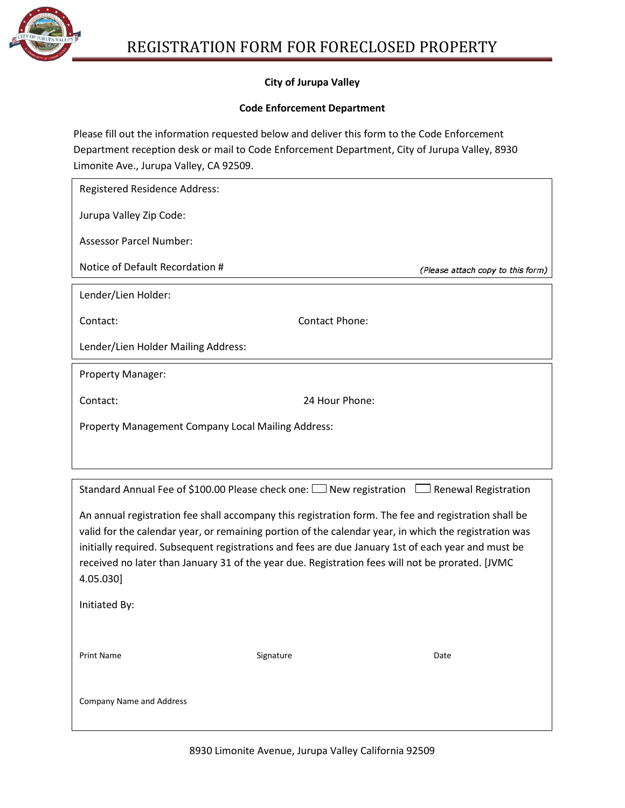

## **City of Jurupa Valley**

### **Code Enforcement Department**

Please fill out the information requested below and deliver this form to the Code Enforcement Department reception desk or mail to Code Enforcement Department, City of Jurupa Valley, 8930 Limonite Ave., Jurupa Valley, CA 92509.

| <b>Registered Residence Address:</b>                                                                                                                                                                   |                |                                   |
|--------------------------------------------------------------------------------------------------------------------------------------------------------------------------------------------------------|----------------|-----------------------------------|
| Jurupa Valley Zip Code:                                                                                                                                                                                |                |                                   |
| <b>Assessor Parcel Number:</b>                                                                                                                                                                         |                |                                   |
| Notice of Default Recordation #                                                                                                                                                                        |                | (Please attach copy to this form) |
| Lender/Lien Holder:                                                                                                                                                                                    |                |                                   |
| Contact:                                                                                                                                                                                               | Contact Phone: |                                   |
| Lender/Lien Holder Mailing Address:                                                                                                                                                                    |                |                                   |
| <b>Property Manager:</b>                                                                                                                                                                               |                |                                   |
| Contact:                                                                                                                                                                                               | 24 Hour Phone: |                                   |
| Property Management Company Local Mailing Address:                                                                                                                                                     |                |                                   |
|                                                                                                                                                                                                        |                |                                   |
| Standard Annual Fee of \$100.00 Please check one: $\Box$ New registration $\Box$ Renewal Registration                                                                                                  |                |                                   |
| An annual registration fee shall accompany this registration form. The fee and registration shall be                                                                                                   |                |                                   |
| valid for the calendar year, or remaining portion of the calendar year, in which the registration was                                                                                                  |                |                                   |
| initially required. Subsequent registrations and fees are due January 1st of each year and must be<br>received no later than January 31 of the year due. Registration fees will not be prorated. [JVMC |                |                                   |
| 4.05.030]                                                                                                                                                                                              |                |                                   |
| Initiated By:                                                                                                                                                                                          |                |                                   |
|                                                                                                                                                                                                        |                |                                   |
| <b>Print Name</b>                                                                                                                                                                                      | Signature      | Date                              |
|                                                                                                                                                                                                        |                |                                   |
| <b>Company Name and Address</b>                                                                                                                                                                        |                |                                   |